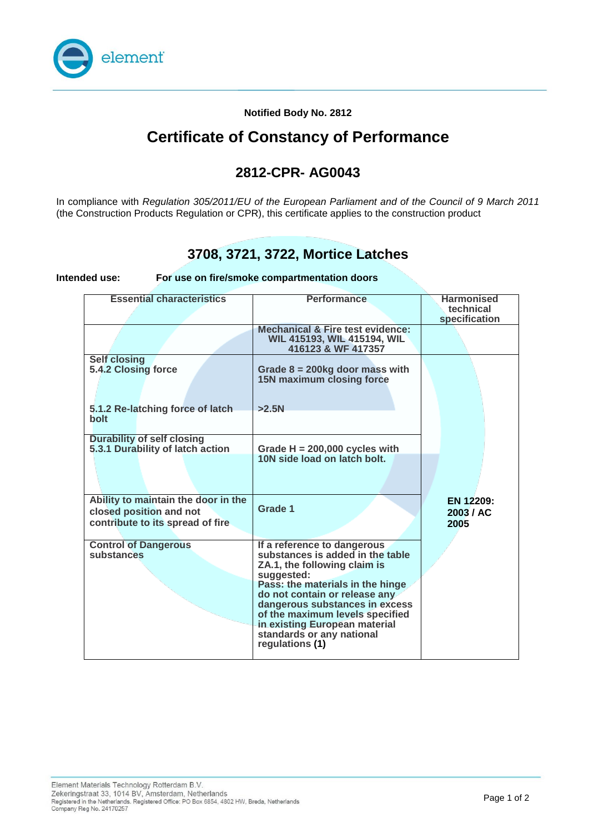

#### **Notified Body No. 2812**

## **Certificate of Constancy of Performance**

### **2812-CPR- AG0043**

In compliance with *Regulation 305/2011/EU of the European Parliament and of the Council of 9 March 2011*  (the Construction Products Regulation or CPR), this certificate applies to the construction product

### **3708, 3721, 3722, Mortice Latches**

**Intended use: For use on fire/smoke compartmentation doors**

| <b>Essential characteristics</b>                                                                   | <b>Performance</b>                                                                                                                                                                                                                                                                                                                       | <b>Harmonised</b><br>technical |
|----------------------------------------------------------------------------------------------------|------------------------------------------------------------------------------------------------------------------------------------------------------------------------------------------------------------------------------------------------------------------------------------------------------------------------------------------|--------------------------------|
|                                                                                                    |                                                                                                                                                                                                                                                                                                                                          | specification                  |
|                                                                                                    | <b>Mechanical &amp; Fire test evidence:</b><br>WIL 415193, WIL 415194, WIL<br>416123 & WF 417357                                                                                                                                                                                                                                         |                                |
| <b>Self closing</b><br>5.4.2 Closing force                                                         | Grade $8 = 200$ kg door mass with<br><b>15N maximum closing force</b>                                                                                                                                                                                                                                                                    |                                |
| 5.1.2 Re-latching force of latch<br><b>bolt</b>                                                    | >2.5N                                                                                                                                                                                                                                                                                                                                    |                                |
| <b>Durability of self closing</b>                                                                  |                                                                                                                                                                                                                                                                                                                                          |                                |
| 5.3.1 Durability of latch action                                                                   | Grade $H = 200,000$ cycles with<br>10N side load on latch bolt.                                                                                                                                                                                                                                                                          |                                |
|                                                                                                    |                                                                                                                                                                                                                                                                                                                                          |                                |
| Ability to maintain the door in the<br>closed position and not<br>contribute to its spread of fire | Grade 1                                                                                                                                                                                                                                                                                                                                  | EN 12209:<br>2003 / AC<br>2005 |
| <b>Control of Dangerous</b><br>substances                                                          | If a reference to dangerous<br>substances is added in the table<br>ZA.1, the following claim is<br>suggested:<br>Pass: the materials in the hinge<br>do not contain or release any<br>dangerous substances in excess<br>of the maximum levels specified<br>in existing European material<br>standards or any national<br>regulations (1) |                                |